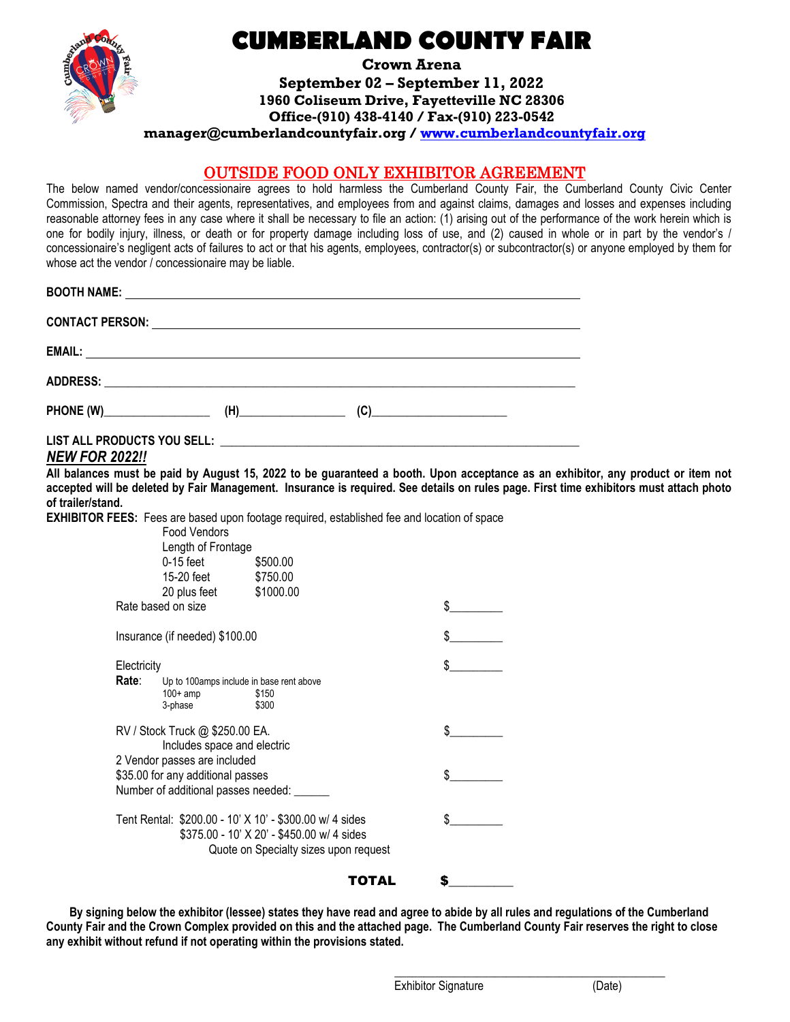

# **CUMBERLAND COUNTY FAIR**

**Crown Arena September 02 – September 11, 2022 1960 Coliseum Drive, Fayetteville NC 28306 Office-(910) 438-4140 / Fax-(910) 223-0542**

**manager@cumberlandcountyfair.org / [www.cumberlandcountyfair.org](http://www.cumberlandcountyfair.org/)**

### OUTSIDE FOOD ONLY EXHIBITOR AGREEMENT

The below named vendor/concessionaire agrees to hold harmless the Cumberland County Fair, the Cumberland County Civic Center Commission, Spectra and their agents, representatives, and employees from and against claims, damages and losses and expenses including reasonable attorney fees in any case where it shall be necessary to file an action: (1) arising out of the performance of the work herein which is one for bodily injury, illness, or death or for property damage including loss of use, and (2) caused in whole or in part by the vendor's / concessionaire's negligent acts of failures to act or that his agents, employees, contractor(s) or subcontractor(s) or anyone employed by them for whose act the vendor / concessionaire may be liable.

|  | $(C)$ and $(C)$ and $(C)$ and $(C)$ and $(C)$ and $(C)$ and $(C)$ and $(C)$ and $(C)$ and $(C)$ and $(C)$ and $(C)$ and $(C)$ and $(C)$ and $(C)$ and $(C)$ and $(C)$ and $(C)$ and $(C)$ and $(C)$ and $(C)$ and $(C)$ and $(C)$ and $(C)$ and $(C)$ |  |
|--|-------------------------------------------------------------------------------------------------------------------------------------------------------------------------------------------------------------------------------------------------------|--|
|  |                                                                                                                                                                                                                                                       |  |

### *NEW FOR 2022!!*

**All balances must be paid by August 15, 2022 to be guaranteed a booth. Upon acceptance as an exhibitor, any product or item not accepted will be deleted by Fair Management. Insurance is required. See details on rules page. First time exhibitors must attach photo of trailer/stand.**

**EXHIBITOR FEES:** Fees are based upon footage required, established fee and location of space

|                      | <b>Food Vendors</b><br>Length of Frontage<br>$0-15$ feet<br>15-20 feet<br>20 plus feet<br>Rate based on size | \$500.00<br>\$750.00<br>\$1000.00                                                                                                              | \$ |
|----------------------|--------------------------------------------------------------------------------------------------------------|------------------------------------------------------------------------------------------------------------------------------------------------|----|
|                      | Insurance (if needed) \$100.00                                                                               |                                                                                                                                                |    |
| Electricity<br>Rate∶ | $100+amp$<br>3-phase                                                                                         | Up to 100 amps include in base rent above<br>\$150<br>\$300                                                                                    |    |
|                      | RV / Stock Truck @ \$250.00 EA.<br>Includes space and electric                                               |                                                                                                                                                |    |
|                      | 2 Vendor passes are included<br>\$35.00 for any additional passes<br>Number of additional passes needed: __  |                                                                                                                                                |    |
|                      |                                                                                                              | Tent Rental: \$200.00 - 10' X 10' - \$300.00 w/ 4 sides<br>\$375.00 - 10' X 20' - \$450.00 w/ 4 sides<br>Quote on Specialty sizes upon request |    |
|                      |                                                                                                              | TOTAL                                                                                                                                          | S  |

**By signing below the exhibitor (lessee) states they have read and agree to abide by all rules and regulations of the Cumberland County Fair and the Crown Complex provided on this and the attached page. The Cumberland County Fair reserves the right to close any exhibit without refund if not operating within the provisions stated.**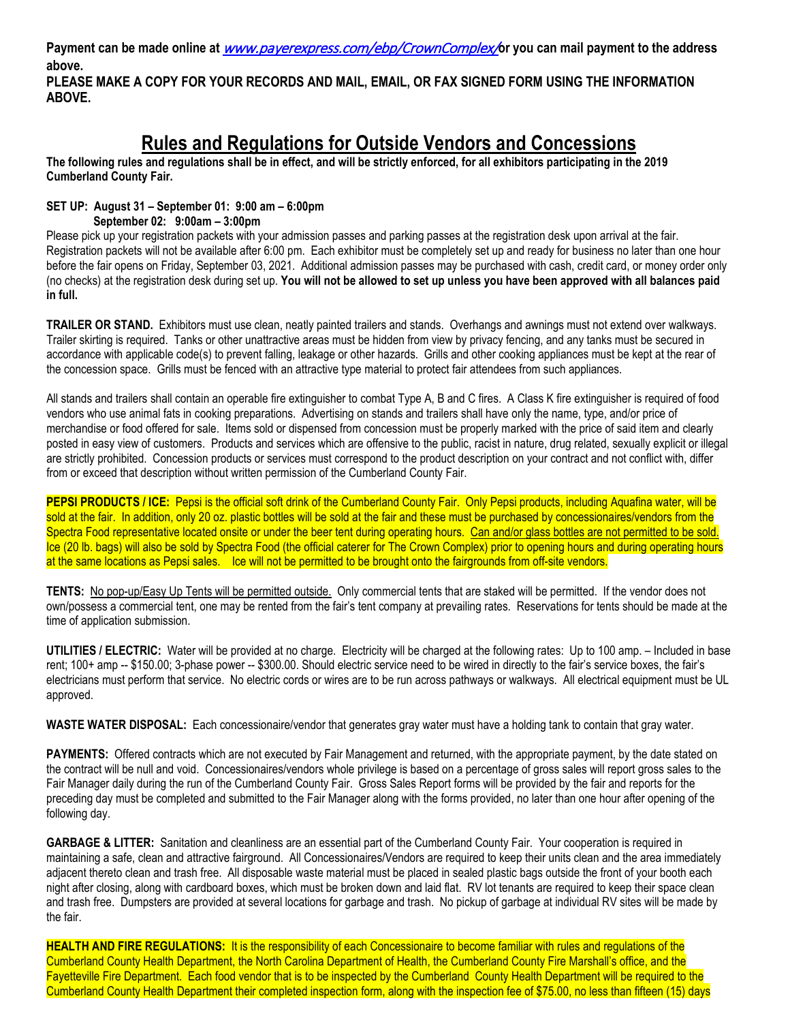**Payment can be made online at** [www.payerexpress.com/ebp/CrownComplex/](https://nam02.safelinks.protection.outlook.com/?url=http%3A%2F%2Fwww.payerexpress.com%2Febp%2FCrownComplex%2F&data=04%7C01%7CTony.Williams%40spectraxp.com%7C228c1bb32e1c41ca890708da00687afe%7C3819dfbab7e44fb299aa53ca91480577%7C0%7C0%7C637822745981327725%7CUnknown%7CTWFpbGZsb3d8eyJWIjoiMC4wLjAwMDAiLCJQIjoiV2luMzIiLCJBTiI6Ik1haWwiLCJXVCI6Mn0%3D%7C3000&sdata=30sUaUoFfwz%2BqSB6hDjVDS5KJaVMIEbyGJvORr0kJm0%3D&reserved=0)**or you can mail payment to the address above.**

**PLEASE MAKE A COPY FOR YOUR RECORDS AND MAIL, EMAIL, OR FAX SIGNED FORM USING THE INFORMATION ABOVE.** 

## **Rules and Regulations for Outside Vendors and Concessions**

**The following rules and regulations shall be in effect, and will be strictly enforced, for all exhibitors participating in the 2019 Cumberland County Fair.**

### **SET UP: August 31 – September 01: 9:00 am – 6:00pm**

 **September 02: 9:00am – 3:00pm**

Please pick up your registration packets with your admission passes and parking passes at the registration desk upon arrival at the fair. Registration packets will not be available after 6:00 pm. Each exhibitor must be completely set up and ready for business no later than one hour before the fair opens on Friday, September 03, 2021. Additional admission passes may be purchased with cash, credit card, or money order only (no checks) at the registration desk during set up. **You will not be allowed to set up unless you have been approved with all balances paid in full.**

**TRAILER OR STAND.** Exhibitors must use clean, neatly painted trailers and stands. Overhangs and awnings must not extend over walkways. Trailer skirting is required. Tanks or other unattractive areas must be hidden from view by privacy fencing, and any tanks must be secured in accordance with applicable code(s) to prevent falling, leakage or other hazards. Grills and other cooking appliances must be kept at the rear of the concession space. Grills must be fenced with an attractive type material to protect fair attendees from such appliances.

All stands and trailers shall contain an operable fire extinguisher to combat Type A, B and C fires. A Class K fire extinguisher is required of food vendors who use animal fats in cooking preparations. Advertising on stands and trailers shall have only the name, type, and/or price of merchandise or food offered for sale. Items sold or dispensed from concession must be properly marked with the price of said item and clearly posted in easy view of customers. Products and services which are offensive to the public, racist in nature, drug related, sexually explicit or illegal are strictly prohibited. Concession products or services must correspond to the product description on your contract and not conflict with, differ from or exceed that description without written permission of the Cumberland County Fair.

**PEPSI PRODUCTS / ICE:** Pepsi is the official soft drink of the Cumberland County Fair. Only Pepsi products, including Aquafina water, will be sold at the fair. In addition, only 20 oz. plastic bottles will be sold at the fair and these must be purchased by concessionaires/vendors from the Spectra Food representative located onsite or under the beer tent during operating hours. Can and/or glass bottles are not permitted to be sold. Ice (20 lb. bags) will also be sold by Spectra Food (the official caterer for The Crown Complex) prior to opening hours and during operating hours at the same locations as Pepsi sales. Ice will not be permitted to be brought onto the fairgrounds from off-site vendors.

**TENTS:** No pop-up/Easy Up Tents will be permitted outside. Only commercial tents that are staked will be permitted. If the vendor does not own/possess a commercial tent, one may be rented from the fair's tent company at prevailing rates. Reservations for tents should be made at the time of application submission.

**UTILITIES / ELECTRIC:** Water will be provided at no charge. Electricity will be charged at the following rates: Up to 100 amp. – Included in base rent; 100+ amp -- \$150.00; 3-phase power -- \$300.00. Should electric service need to be wired in directly to the fair's service boxes, the fair's electricians must perform that service. No electric cords or wires are to be run across pathways or walkways. All electrical equipment must be UL approved.

**WASTE WATER DISPOSAL:** Each concessionaire/vendor that generates gray water must have a holding tank to contain that gray water.

**PAYMENTS:** Offered contracts which are not executed by Fair Management and returned, with the appropriate payment, by the date stated on the contract will be null and void. Concessionaires/vendors whole privilege is based on a percentage of gross sales will report gross sales to the Fair Manager daily during the run of the Cumberland County Fair. Gross Sales Report forms will be provided by the fair and reports for the preceding day must be completed and submitted to the Fair Manager along with the forms provided, no later than one hour after opening of the following day.

**GARBAGE & LITTER:** Sanitation and cleanliness are an essential part of the Cumberland County Fair. Your cooperation is required in maintaining a safe, clean and attractive fairground. All Concessionaires/Vendors are required to keep their units clean and the area immediately adjacent thereto clean and trash free. All disposable waste material must be placed in sealed plastic bags outside the front of your booth each night after closing, along with cardboard boxes, which must be broken down and laid flat. RV lot tenants are required to keep their space clean and trash free. Dumpsters are provided at several locations for garbage and trash. No pickup of garbage at individual RV sites will be made by the fair.

**HEALTH AND FIRE REGULATIONS:** It is the responsibility of each Concessionaire to become familiar with rules and regulations of the Cumberland County Health Department, the North Carolina Department of Health, the Cumberland County Fire Marshall's office, and the Fayetteville Fire Department. Each food vendor that is to be inspected by the Cumberland County Health Department will be required to the Cumberland County Health Department their completed inspection form, along with the inspection fee of \$75.00, no less than fifteen (15) days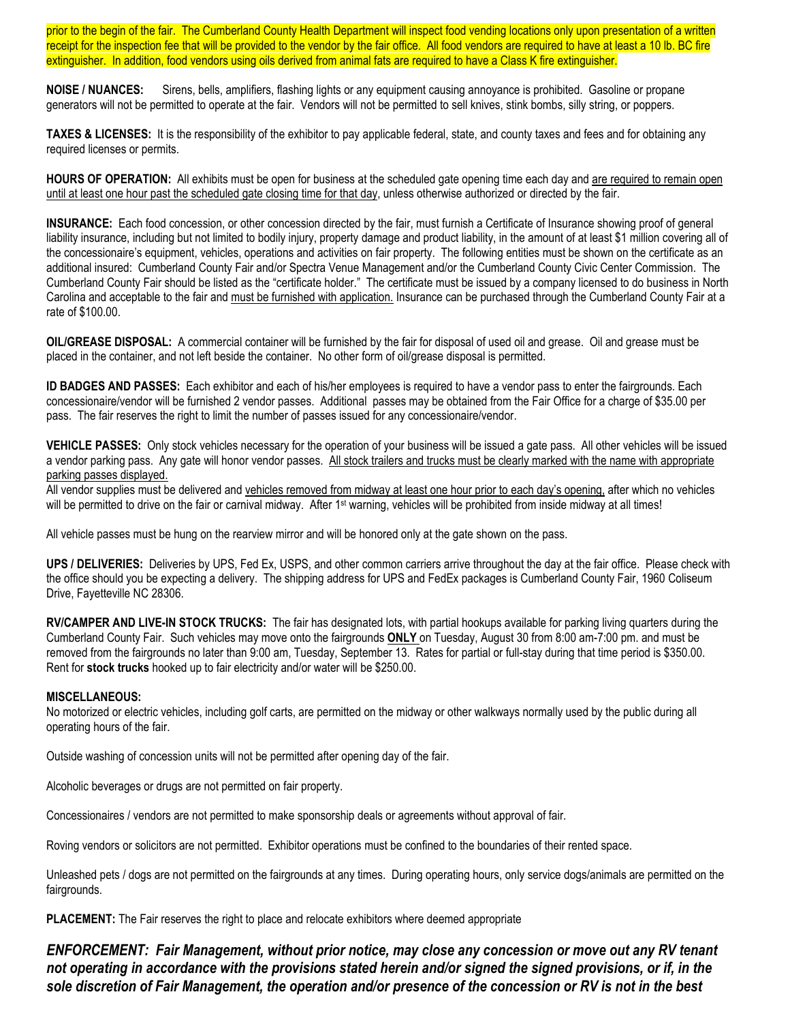prior to the begin of the fair. The Cumberland County Health Department will inspect food vending locations only upon presentation of a written receipt for the inspection fee that will be provided to the vendor by the fair office. All food vendors are required to have at least a 10 lb. BC fire extinguisher. In addition, food vendors using oils derived from animal fats are required to have a Class K fire extinguisher.

**NOISE / NUANCES:** Sirens, bells, amplifiers, flashing lights or any equipment causing annoyance is prohibited. Gasoline or propane generators will not be permitted to operate at the fair. Vendors will not be permitted to sell knives, stink bombs, silly string, or poppers.

**TAXES & LICENSES:** It is the responsibility of the exhibitor to pay applicable federal, state, and county taxes and fees and for obtaining any required licenses or permits.

**HOURS OF OPERATION:** All exhibits must be open for business at the scheduled gate opening time each day and are required to remain open until at least one hour past the scheduled gate closing time for that day, unless otherwise authorized or directed by the fair.

**INSURANCE:** Each food concession, or other concession directed by the fair, must furnish a Certificate of Insurance showing proof of general liability insurance, including but not limited to bodily injury, property damage and product liability, in the amount of at least \$1 million covering all of the concessionaire's equipment, vehicles, operations and activities on fair property. The following entities must be shown on the certificate as an additional insured: Cumberland County Fair and/or Spectra Venue Management and/or the Cumberland County Civic Center Commission. The Cumberland County Fair should be listed as the "certificate holder." The certificate must be issued by a company licensed to do business in North Carolina and acceptable to the fair and must be furnished with application. Insurance can be purchased through the Cumberland County Fair at a rate of \$100.00.

**OIL/GREASE DISPOSAL:** A commercial container will be furnished by the fair for disposal of used oil and grease. Oil and grease must be placed in the container, and not left beside the container. No other form of oil/grease disposal is permitted.

**ID BADGES AND PASSES:** Each exhibitor and each of his/her employees is required to have a vendor pass to enter the fairgrounds. Each concessionaire/vendor will be furnished 2 vendor passes. Additional passes may be obtained from the Fair Office for a charge of \$35.00 per pass. The fair reserves the right to limit the number of passes issued for any concessionaire/vendor.

**VEHICLE PASSES:** Only stock vehicles necessary for the operation of your business will be issued a gate pass. All other vehicles will be issued a vendor parking pass. Any gate will honor vendor passes. All stock trailers and trucks must be clearly marked with the name with appropriate parking passes displayed.

All vendor supplies must be delivered and vehicles removed from midway at least one hour prior to each day's opening, after which no vehicles will be permitted to drive on the fair or carnival midway. After 1<sup>st</sup> warning, vehicles will be prohibited from inside midway at all times!

All vehicle passes must be hung on the rearview mirror and will be honored only at the gate shown on the pass.

**UPS / DELIVERIES:** Deliveries by UPS, Fed Ex, USPS, and other common carriers arrive throughout the day at the fair office. Please check with the office should you be expecting a delivery. The shipping address for UPS and FedEx packages is Cumberland County Fair, 1960 Coliseum Drive, Fayetteville NC 28306.

**RV/CAMPER AND LIVE-IN STOCK TRUCKS:** The fair has designated lots, with partial hookups available for parking living quarters during the Cumberland County Fair. Such vehicles may move onto the fairgrounds **ONLY** on Tuesday, August 30 from 8:00 am-7:00 pm. and must be removed from the fairgrounds no later than 9:00 am, Tuesday, September 13. Rates for partial or full-stay during that time period is \$350.00. Rent for **stock trucks** hooked up to fair electricity and/or water will be \$250.00.

#### **MISCELLANEOUS:**

No motorized or electric vehicles, including golf carts, are permitted on the midway or other walkways normally used by the public during all operating hours of the fair.

Outside washing of concession units will not be permitted after opening day of the fair.

Alcoholic beverages or drugs are not permitted on fair property.

Concessionaires / vendors are not permitted to make sponsorship deals or agreements without approval of fair.

Roving vendors or solicitors are not permitted. Exhibitor operations must be confined to the boundaries of their rented space.

Unleashed pets / dogs are not permitted on the fairgrounds at any times. During operating hours, only service dogs/animals are permitted on the fairgrounds.

**PLACEMENT:** The Fair reserves the right to place and relocate exhibitors where deemed appropriate

*ENFORCEMENT: Fair Management, without prior notice, may close any concession or move out any RV tenant not operating in accordance with the provisions stated herein and/or signed the signed provisions, or if, in the sole discretion of Fair Management, the operation and/or presence of the concession or RV is not in the best*